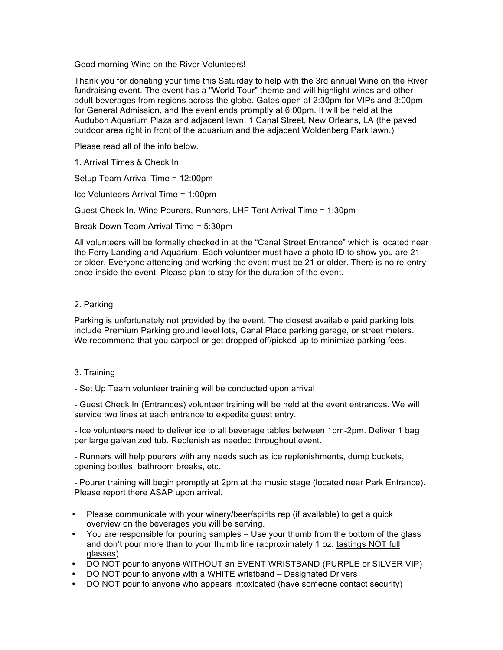Good morning Wine on the River Volunteers!

Thank you for donating your time this Saturday to help with the 3rd annual Wine on the River fundraising event. The event has a "World Tour" theme and will highlight wines and other adult beverages from regions across the globe. Gates open at 2:30pm for VIPs and 3:00pm for General Admission, and the event ends promptly at 6:00pm. It will be held at the Audubon Aquarium Plaza and adjacent lawn, 1 Canal Street, New Orleans, LA (the paved outdoor area right in front of the aquarium and the adjacent Woldenberg Park lawn.)

Please read all of the info below.

1. Arrival Times & Check In

Setup Team Arrival Time = 12:00pm

Ice Volunteers Arrival Time = 1:00pm

Guest Check In, Wine Pourers, Runners, LHF Tent Arrival Time = 1:30pm

Break Down Team Arrival Time = 5:30pm

All volunteers will be formally checked in at the "Canal Street Entrance" which is located near the Ferry Landing and Aquarium. Each volunteer must have a photo ID to show you are 21 or older. Everyone attending and working the event must be 21 or older. There is no re-entry once inside the event. Please plan to stay for the duration of the event.

## 2. Parking

Parking is unfortunately not provided by the event. The closest available paid parking lots include Premium Parking ground level lots, Canal Place parking garage, or street meters. We recommend that you carpool or get dropped off/picked up to minimize parking fees.

## 3. Training

- Set Up Team volunteer training will be conducted upon arrival

- Guest Check In (Entrances) volunteer training will be held at the event entrances. We will service two lines at each entrance to expedite guest entry.

- Ice volunteers need to deliver ice to all beverage tables between 1pm-2pm. Deliver 1 bag per large galvanized tub. Replenish as needed throughout event.

- Runners will help pourers with any needs such as ice replenishments, dump buckets, opening bottles, bathroom breaks, etc.

- Pourer training will begin promptly at 2pm at the music stage (located near Park Entrance). Please report there ASAP upon arrival.

- Please communicate with your winery/beer/spirits rep (if available) to get a quick overview on the beverages you will be serving.
- You are responsible for pouring samples Use your thumb from the bottom of the glass and don't pour more than to your thumb line (approximately 1 oz. tastings NOT full glasses)
- DO NOT pour to anyone WITHOUT an EVENT WRISTBAND (PURPLE or SILVER VIP)
- DO NOT pour to anyone with a WHITE wristband Designated Drivers
- DO NOT pour to anyone who appears intoxicated (have someone contact security)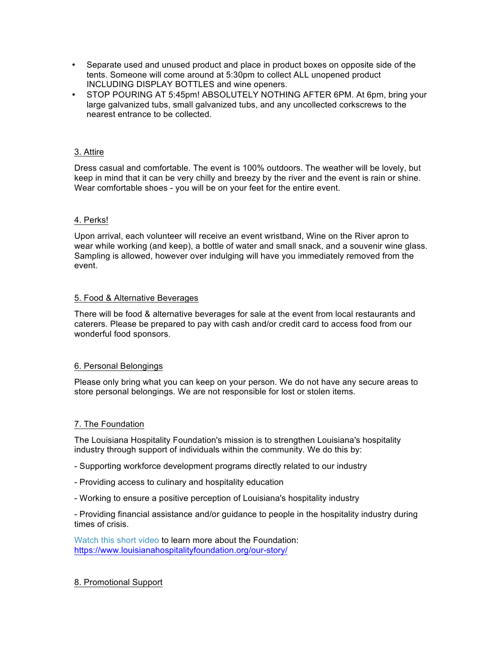- Separate used and unused product and place in product boxes on opposite side of the tents. Someone will come around at 5:30pm to collect ALL unopened product INCLUDING DISPLAY BOTTLES and wine openers.
- STOP POURING AT 5:45pm! ABSOLUTELY NOTHING AFTER 6PM. At 6pm, bring your large galvanized tubs, small galvanized tubs, and any uncollected corkscrews to the nearest entrance to be collected.

## 3. Attire

Dress casual and comfortable. The event is 100% outdoors. The weather will be lovely, but keep in mind that it can be very chilly and breezy by the river and the event is rain or shine. Wear comfortable shoes - you will be on your feet for the entire event.

#### 4. Perks!

Upon arrival, each volunteer will receive an event wristband, Wine on the River apron to wear while working (and keep), a bottle of water and small snack, and a souvenir wine glass. Sampling is allowed, however over indulging will have you immediately removed from the event.

#### 5. Food & Alternative Beverages

There will be food & alternative beverages for sale at the event from local restaurants and caterers. Please be prepared to pay with cash and/or credit card to access food from our wonderful food sponsors.

## 6. Personal Belongings

Please only bring what you can keep on your person. We do not have any secure areas to store personal belongings. We are not responsible for lost or stolen items.

## 7. The Foundation

The Louisiana Hospitality Foundation's mission is to strengthen Louisiana's hospitality industry through support of individuals within the community. We do this by:

- Supporting workforce development programs directly related to our industry
- Providing access to culinary and hospitality education
- Working to ensure a positive perception of Louisiana's hospitality industry

- Providing financial assistance and/or guidance to people in the hospitality industry during times of crisis.

Watch this short video to learn more about the Foundation: https://www.louisianahospitalityfoundation.org/our-story/

## 8. Promotional Support